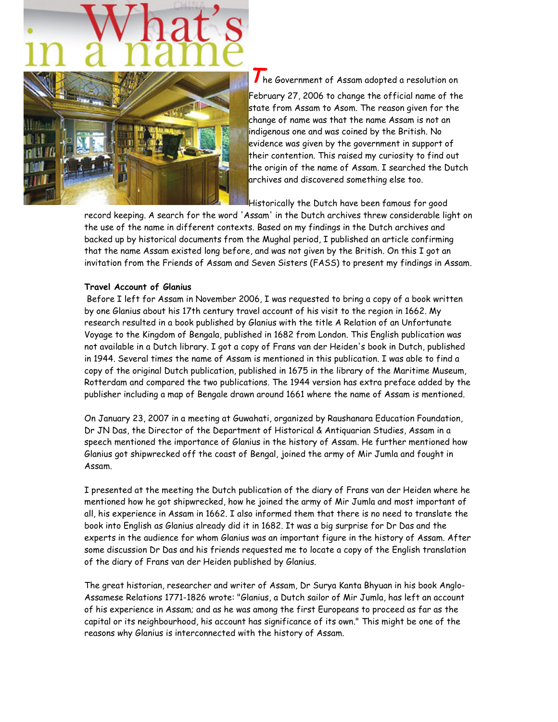

 $\overline{\int}$  he Government of Assam adopted a resolution on February 27, 2006 to change the official name of the state from Assam to Asom. The reason given for the change of name was that the name Assam is not an indigenous one and was coined by the British. No evidence was given by the government in support of their contention. This raised my curiosity to find out the origin of the name of Assam. I searched the Dutch archives and discovered something else too.

Historically the Dutch have been famous for good

record keeping. A search for the word 'Assam' in the Dutch archives threw considerable light on the use of the name in different contexts. Based on my findings in the Dutch archives and backed up by historical documents from the Mughal period, I published an article confirming that the name Assam existed long before, and was not given by the British. On this I got an invitation from the Friends of Assam and Seven Sisters (FASS) to present my findings in Assam.

### Travel Account of Glanius

 Before I left for Assam in November 2006, I was requested to bring a copy of a book written by one Glanius about his 17th century travel account of his visit to the region in 1662. My research resulted in a book published by Glanius with the title A Relation of an Unfortunate Voyage to the Kingdom of Bengala, published in 1682 from London. This English publication was not available in a Dutch library. I got a copy of Frans van der Heiden's book in Dutch, published in 1944. Several times the name of Assam is mentioned in this publication. I was able to find a copy of the original Dutch publication, published in 1675 in the library of the Maritime Museum, Rotterdam and compared the two publications. The 1944 version has extra preface added by the publisher including a map of Bengale drawn around 1661 where the name of Assam is mentioned.

On January 23, 2007 in a meeting at Guwahati, organized by Raushanara Education Foundation, Dr JN Das, the Director of the Department of Historical & Antiquarian Studies, Assam in a speech mentioned the importance of Glanius in the history of Assam. He further mentioned how Glanius got shipwrecked off the coast of Bengal, joined the army of Mir Jumla and fought in Assam.

I presented at the meeting the Dutch publication of the diary of Frans van der Heiden where he mentioned how he got shipwrecked, how he joined the army of Mir Jumla and most important of all, his experience in Assam in 1662. I also informed them that there is no need to translate the book into English as Glanius already did it in 1682. It was a big surprise for Dr Das and the experts in the audience for whom Glanius was an important figure in the history of Assam. After some discussion Dr Das and his friends requested me to locate a copy of the English translation of the diary of Frans van der Heiden published by Glanius.

The great historian, researcher and writer of Assam, Dr Surya Kanta Bhyuan in his book Anglo-Assamese Relations 1771-1826 wrote: "Glanius, a Dutch sailor of Mir Jumla, has left an account of his experience in Assam; and as he was among the first Europeans to proceed as far as the capital or its neighbourhood, his account has significance of its own." This might be one of the reasons why Glanius is interconnected with the history of Assam.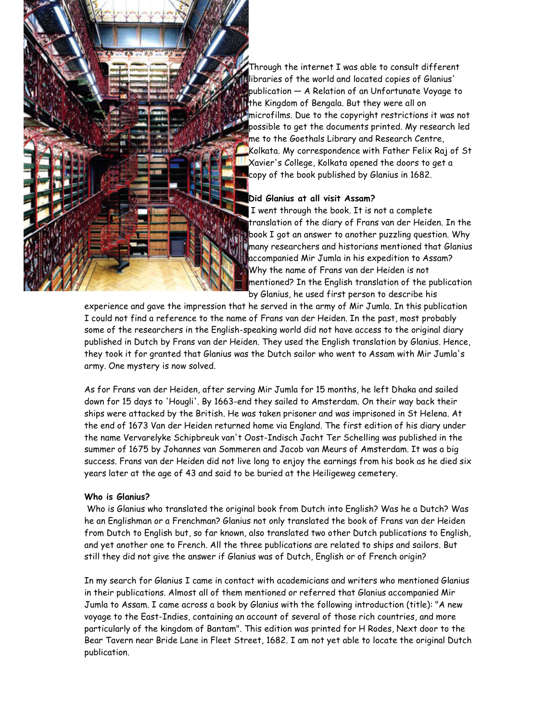

Through the internet I was able to consult different libraries of the world and located copies of Glanius' publication — A Relation of an Unfortunate Voyage to the Kingdom of Bengala. But they were all on microfilms. Due to the copyright restrictions it was not possible to get the documents printed. My research led me to the Goethals Library and Research Centre, Kolkata. My correspondence with Father Felix Raj of St Xavier's College, Kolkata opened the doors to get a copy of the book published by Glanius in 1682.

#### Did Glanius at all visit Assam?

 I went through the book. It is not a complete translation of the diary of Frans van der Heiden. In the book I got an answer to another puzzling question. Why many researchers and historians mentioned that Glanius accompanied Mir Jumla in his expedition to Assam? Why the name of Frans van der Heiden is not mentioned? In the English translation of the publication by Glanius, he used first person to describe his

experience and gave the impression that he served in the army of Mir Jumla. In this publication I could not find a reference to the name of Frans van der Heiden. In the past, most probably some of the researchers in the English-speaking world did not have access to the original diary published in Dutch by Frans van der Heiden. They used the English translation by Glanius. Hence, they took it for granted that Glanius was the Dutch sailor who went to Assam with Mir Jumla's army. One mystery is now solved.

As for Frans van der Heiden, after serving Mir Jumla for 15 months, he left Dhaka and sailed down for 15 days to 'Hougli'. By 1663-end they sailed to Amsterdam. On their way back their ships were attacked by the British. He was taken prisoner and was imprisoned in St Helena. At the end of 1673 Van der Heiden returned home via England. The first edition of his diary under the name Vervarelyke Schipbreuk van't Oost-Indisch Jacht Ter Schelling was published in the summer of 1675 by Johannes van Sommeren and Jacob van Meurs of Amsterdam. It was a big success. Frans van der Heiden did not live long to enjoy the earnings from his book as he died six years later at the age of 43 and said to be buried at the Heiligeweg cemetery.

#### Who is Glanius?

 Who is Glanius who translated the original book from Dutch into English? Was he a Dutch? Was he an Englishman or a Frenchman? Glanius not only translated the book of Frans van der Heiden from Dutch to English but, so far known, also translated two other Dutch publications to English, and yet another one to French. All the three publications are related to ships and sailors. But still they did not give the answer if Glanius was of Dutch, English or of French origin?

In my search for Glanius I came in contact with academicians and writers who mentioned Glanius in their publications. Almost all of them mentioned or referred that Glanius accompanied Mir Jumla to Assam. I came across a book by Glanius with the following introduction (title): "A new voyage to the East-Indies, containing an account of several of those rich countries, and more particularly of the kingdom of Bantam". This edition was printed for H Rodes, Next door to the Bear Tavern near Bride Lane in Fleet Street, 1682. I am not yet able to locate the original Dutch publication.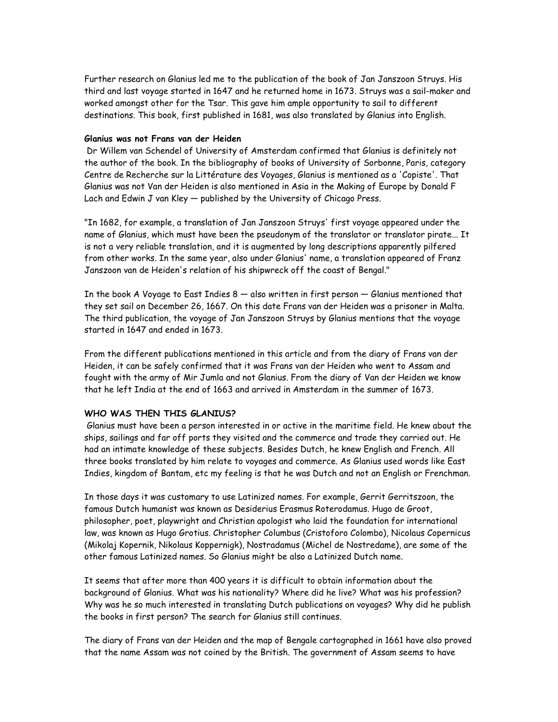Further research on Glanius led me to the publication of the book of Jan Janszoon Struys. His third and last voyage started in 1647 and he returned home in 1673. Struys was a sail-maker and worked amongst other for the Tsar. This gave him ample opportunity to sail to different destinations. This book, first published in 1681, was also translated by Glanius into English.

## Glanius was not Frans van der Heiden

 Dr Willem van Schendel of University of Amsterdam confirmed that Glanius is definitely not the author of the book. In the bibliography of books of University of Sorbonne, Paris, category Centre de Recherche sur la Littérature des Voyages, Glanius is mentioned as a 'Copiste'. That Glanius was not Van der Heiden is also mentioned in Asia in the Making of Europe by Donald F Lach and Edwin J van Kley — published by the University of Chicago Press.

"In 1682, for example, a translation of Jan Janszoon Struys' first voyage appeared under the name of Glanius, which must have been the pseudonym of the translator or translator pirate... It is not a very reliable translation, and it is augmented by long descriptions apparently pilfered from other works. In the same year, also under Glanius' name, a translation appeared of Franz Janszoon van de Heiden's relation of his shipwreck off the coast of Bengal."

In the book A Voyage to East Indies  $8 -$  also written in first person  $-$  Glanius mentioned that they set sail on December 26, 1667. On this date Frans van der Heiden was a prisoner in Malta. The third publication, the voyage of Jan Janszoon Struys by Glanius mentions that the voyage started in 1647 and ended in 1673.

From the different publications mentioned in this article and from the diary of Frans van der Heiden, it can be safely confirmed that it was Frans van der Heiden who went to Assam and fought with the army of Mir Jumla and not Glanius. From the diary of Van der Heiden we know that he left India at the end of 1663 and arrived in Amsterdam in the summer of 1673.

#### WHO WAS THEN THIS GLANIUS?

 Glanius must have been a person interested in or active in the maritime field. He knew about the ships, sailings and far off ports they visited and the commerce and trade they carried out. He had an intimate knowledge of these subjects. Besides Dutch, he knew English and French. All three books translated by him relate to voyages and commerce. As Glanius used words like East Indies, kingdom of Bantam, etc my feeling is that he was Dutch and not an English or Frenchman.

In those days it was customary to use Latinized names. For example, Gerrit Gerritszoon, the famous Dutch humanist was known as Desiderius Erasmus Roterodamus. Hugo de Groot, philosopher, poet, playwright and Christian apologist who laid the foundation for international law, was known as Hugo Grotius. Christopher Columbus (Cristoforo Colombo), Nicolaus Copernicus (Mikolaj Kopernik, Nikolaus Koppernigk), Nostradamus (Michel de Nostredame), are some of the other famous Latinized names. So Glanius might be also a Latinized Dutch name.

It seems that after more than 400 years it is difficult to obtain information about the background of Glanius. What was his nationality? Where did he live? What was his profession? Why was he so much interested in translating Dutch publications on voyages? Why did he publish the books in first person? The search for Glanius still continues.

The diary of Frans van der Heiden and the map of Bengale cartographed in 1661 have also proved that the name Assam was not coined by the British. The government of Assam seems to have